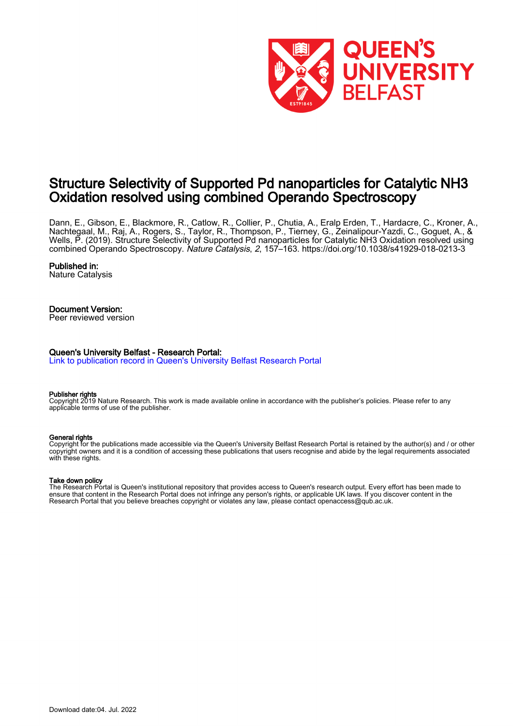

# Structure Selectivity of Supported Pd nanoparticles for Catalytic NH3 Oxidation resolved using combined Operando Spectroscopy

Dann, E., Gibson, E., Blackmore, R., Catlow, R., Collier, P., Chutia, A., Eralp Erden, T., Hardacre, C., Kroner, A., Nachtegaal, M., Raj, A., Rogers, S., Taylor, R., Thompson, P., Tierney, G., Zeinalipour-Yazdi, C., Goguet, A., & Wells, P. (2019). Structure Selectivity of Supported Pd nanoparticles for Catalytic NH3 Oxidation resolved using combined Operando Spectroscopy. Nature Catalysis, 2, 157–163.<https://doi.org/10.1038/s41929-018-0213-3>

# Published in:

Nature Catalysis

# Document Version:

Peer reviewed version

# Queen's University Belfast - Research Portal:

[Link to publication record in Queen's University Belfast Research Portal](https://pure.qub.ac.uk/en/publications/9c2e6710-e8d3-49ad-8fd6-e26437c13799)

### Publisher rights

Copyright 2019 Nature Research. This work is made available online in accordance with the publisher's policies. Please refer to any applicable terms of use of the publisher.

# General rights

Copyright for the publications made accessible via the Queen's University Belfast Research Portal is retained by the author(s) and / or other copyright owners and it is a condition of accessing these publications that users recognise and abide by the legal requirements associated with these rights.

### Take down policy

The Research Portal is Queen's institutional repository that provides access to Queen's research output. Every effort has been made to ensure that content in the Research Portal does not infringe any person's rights, or applicable UK laws. If you discover content in the Research Portal that you believe breaches copyright or violates any law, please contact openaccess@qub.ac.uk.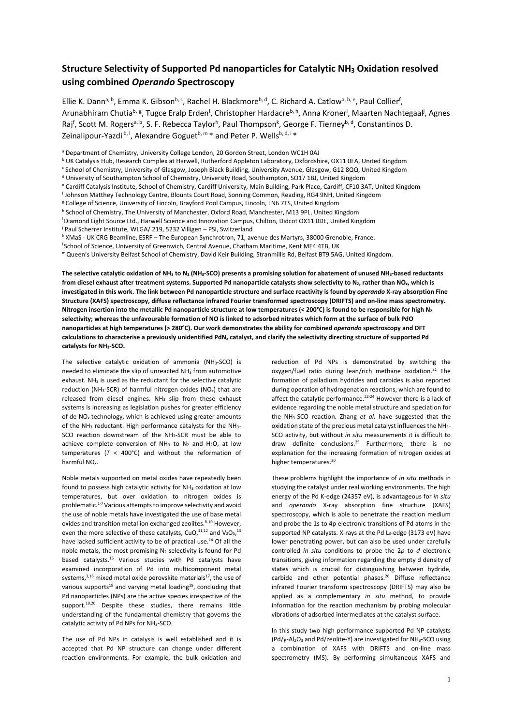# **Structure Selectivity of Supported Pd nanoparticles for Catalytic NH3 Oxidation resolved using combined** *Operando* **Spectroscopy**

Ellie K. Dann<sup>a, b</sup>, Emma K. Gibson<sup>b, c</sup>, Rachel H. Blackmore<sup>b, d</sup>, C. Richard A. Catlow<sup>a, b, e</sup>, Paul Collier<sup>f</sup>, Arunabhiram Chutia<sup>b, g</sup>, Tugce Eralp Erden<sup>f</sup>, Christopher Hardacre<sup>b, h</sup>, Anna Kroner<sup>i</sup>, Maarten Nachtegaal<sup>j</sup>, Agnes Raj<sup>f</sup>, Scott M. Rogers<sup>a, b</sup>, S. F. Rebecca Taylor<sup>h</sup>, Paul Thompson<sup>k</sup>, George F. Tierney<sup>b, d</sup>, Constantinos D. Zeinalipour-Yazdi  $b, l$ , Alexandre Goguet $b, m$  \* and Peter P. Wells $b, d, i$  \*

<sup>a</sup> Department of Chemistry, University College London, 20 Gordon Street, London WC1H 0AJ

<sup>b</sup> UK Catalysis Hub, Research Complex at Harwell, Rutherford Appleton Laboratory, Oxfordshire, OX11 0FA, United Kingdom

<sup>c</sup> School of Chemistry, University of Glasgow, Joseph Black Building, University Avenue, Glasgow, G12 8QQ, United Kingdom

<sup>d</sup> University of Southampton School of Chemistry, University Road, Southampton, SO17 1BJ, United Kingdom

- e Cardiff Catalysis Institute, School of Chemistry, Cardiff University, Main Building, Park Place, Cardiff, CF10 3AT, United Kingdom
- f Johnson Matthey Technology Centre, Blounts Court Road, Sonning Common, Reading, RG4 9NH, United Kingdom
- <sup>g</sup> College of Science, University of Lincoln, Brayford Pool Campus, Lincoln, LN6 7TS, United Kingdom

h School of Chemistry, The University of Manchester, Oxford Road, Manchester, M13 9PL, United Kingdom

- i Diamond Light Source Ltd., Harwell Science and Innovation Campus, Chilton, Didcot OX11 0DE, United Kingdom
- j Paul Scherrer Institute, WLGA/ 219, 5232 Villigen PSI, Switzerland
- k XMaS ‐ UK CRG Beamline, ESRF The European Synchrotron, 71, avenue des Martyrs, 38000 Grenoble, France.
- <sup>1</sup> School of Science, University of Greenwich, Central Avenue, Chatham Maritime, Kent ME4 4TB, UK

m Queen's University Belfast School of Chemistry, David Keir Building, Stranmillis Rd, Belfast BT9 5AG, United Kingdom.

The selective catalytic oxidation of NH<sub>3</sub> to N<sub>2</sub> (NH<sub>3</sub>-SCO) presents a promising solution for abatement of unused NH<sub>3</sub>-based reductants **from diesel exhaust after treatment systems. Supported Pd nanoparticle catalysts show selectivity to N2, rather than NOx, which is investigated in this work. The link between Pd nanoparticle structure and surface reactivity is found by** *operando* **X‐ray absorption Fine Structure (XAFS) spectroscopy, diffuse reflectance infrared Fourier transformed spectroscopy (DRIFTS) and on‐line mass spectrometry. Nitrogen insertion into the metallic Pd nanoparticle structure at low temperatures (< 200°C) is found to be responsible for high N2 selectivity; whereas the unfavourable formation of NO is linked to adsorbed nitrates which form at the surface of bulk PdO nanoparticles at high temperatures (> 280°C). Our work demonstrates the ability for combined** *operando* **spectroscopy and DFT calculations to characterise a previously unidentified PdNx catalyst, and clarify the selectivity directing structure of supported Pd catalysts for NH3‐SCO.** 

The selective catalytic oxidation of ammonia (NH<sub>3</sub>-SCO) is needed to eliminate the slip of unreacted NH3 from automotive exhaust. NH<sub>3</sub> is used as the reductant for the selective catalytic reduction (NH3‐SCR) of harmful nitrogen oxides (NO*x*) that are released from diesel engines. NH<sub>3</sub> slip from these exhaust systems is increasing as legislation pushes for greater efficiency of de‐NO*x* technology, which is achieved using greater amounts of the NH<sub>3</sub> reductant. High performance catalysts for the NH<sub>3</sub>-SCO reaction downstream of the NH<sub>3</sub>-SCR must be able to achieve complete conversion of  $NH_3$  to  $N_2$  and  $H_2O$ , at low temperatures  $(T < 400^{\circ}C)$  and without the reformation of harmful NO*x*.

Noble metals supported on metal oxides have repeatedly been found to possess high catalytic activity for NH<sub>3</sub> oxidation at low temperatures, but over oxidation to nitrogen oxides is problematic.<sup>1-7</sup> Various attempts to improve selectivity and avoid the use of noble metals have investigated the use of base metal oxides and transition metal ion exchanged zeolites.<sup>8-10</sup> However, even the more selective of these catalysts, CuO, $^{11,12}$  and V<sub>2</sub>O<sub>5</sub>,<sup>13</sup> have lacked sufficient activity to be of practical use.<sup>14</sup> Of all the noble metals, the most promising N2 selectivity is found for Pd based catalysts.<sup>15</sup> Various studies with Pd catalysts have examined incorporation of Pd into multicomponent metal systems, $3,16$  mixed metal oxide perovskite materials<sup>17</sup>, the use of various supports<sup>18</sup> and varying metal loading<sup>19</sup>, concluding that Pd nanoparticles (NPs) are the active species irrespective of the support.<sup>19,20</sup> Despite these studies, there remains little understanding of the fundamental chemistry that governs the catalytic activity of Pd NPs for NH3‐SCO.

The use of Pd NPs in catalysis is well established and it is accepted that Pd NP structure can change under different reaction environments. For example, the bulk oxidation and

reduction of Pd NPs is demonstrated by switching the oxygen/fuel ratio during lean/rich methane oxidation.<sup>21</sup> The formation of palladium hydrides and carbides is also reported during operation of hydrogenation reactions, which are found to affect the catalytic performance.<sup>22-24</sup> However there is a lack of evidence regarding the noble metal structure and speciation for the NH<sub>3</sub>-SCO reaction. Zhang et al. have suggested that the oxidation state of the precious metal catalyst influences the NH<sub>3</sub>-SCO activity, but without *in situ* measurements it is difficult to draw definite conclusions.<sup>25</sup> Furthermore, there is no explanation for the increasing formation of nitrogen oxides at higher temperatures.<sup>20</sup>

These problems highlight the importance of *in situ* methods in studying the catalyst under real working environments. The high energy of the Pd K‐edge (24357 eV), is advantageous for *in situ* and *operando* X‐ray absorption fine structure (XAFS) spectroscopy, which is able to penetrate the reaction medium and probe the 1s to 4p electronic transitions of Pd atoms in the supported NP catalysts. X-rays at the Pd L<sub>3</sub>-edge (3173 eV) have lower penetrating power, but can also be used under carefully controlled *in situ* conditions to probe the 2*p* to *d* electronic transitions, giving information regarding the empty d density of states which is crucial for distinguishing between hydride, carbide and other potential phases.<sup>26</sup> Diffuse reflectance infrared Fourier transform spectroscopy (DRIFTS) may also be applied as a complementary *in situ* method, to provide information for the reaction mechanism by probing molecular vibrations of adsorbed intermediates at the catalyst surface.

In this study two high performance supported Pd NP catalysts (Pd/y-Al<sub>2</sub>O<sub>3</sub> and Pd/zeolite-Y) are investigated for NH<sub>3</sub>-SCO using a combination of XAFS with DRIFTS and on‐line mass spectrometry (MS). By performing simultaneous XAFS and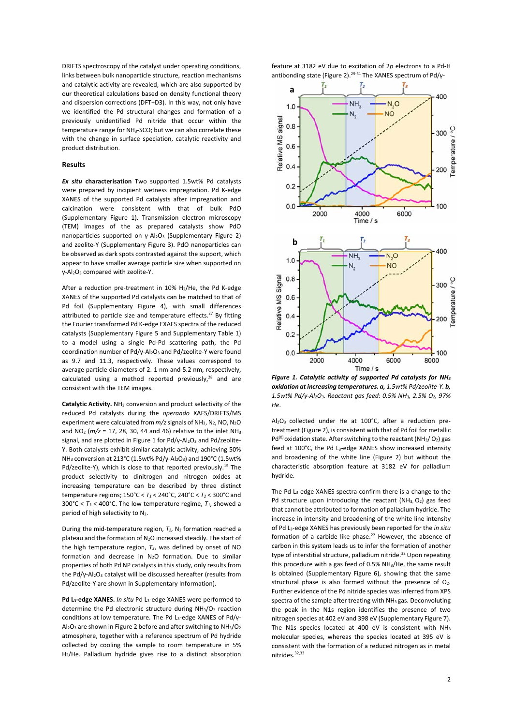DRIFTS spectroscopy of the catalyst under operating conditions, links between bulk nanoparticle structure, reaction mechanisms and catalytic activity are revealed, which are also supported by our theoretical calculations based on density functional theory and dispersion corrections (DFT+D3). In this way, not only have we identified the Pd structural changes and formation of a previously unidentified Pd nitride that occur within the temperature range for NH3‐SCO; but we can also correlate these with the change in surface speciation, catalytic reactivity and product distribution.

### **Results**

*Ex situ* **characterisation**  Two supported 1.5wt% Pd catalysts were prepared by incipient wetness impregnation. Pd K-edge XANES of the supported Pd catalysts after impregnation and calcination were consistent with that of bulk PdO (Supplementary Figure 1). Transmission electron microscopy (TEM) images of the as prepared catalysts show PdO nanoparticles supported on  $γ$ -Al<sub>2</sub>O<sub>3</sub> (Supplementary Figure 2) and zeolite‐Y (Supplementary Figure 3). PdO nanoparticles can be observed as dark spots contrasted against the support, which appear to have smaller average particle size when supported on γ‐Al2O3 compared with zeolite‐Y.

After a reduction pre-treatment in 10% H<sub>2</sub>/He, the Pd K-edge XANES of the supported Pd catalysts can be matched to that of Pd foil (Supplementary Figure 4), with small differences attributed to particle size and temperature effects.<sup>27</sup> By fitting the Fourier transformed Pd K‐edge EXAFS spectra of the reduced catalysts (Supplementary Figure 5 and Supplementary Table 1) to a model using a single Pd-Pd scattering path, the Pd coordination number of Pd/γ‐Al2O3 and Pd/zeolite‐Y were found as 9.7 and 11.3, respectively. These values correspond to average particle diameters of 2. 1 nm and 5.2 nm, respectively, calculated using a method reported previously, $28$  and are consistent with the TEM images.

**Catalytic Activity.** NH3 conversion and product selectivity of the reduced Pd catalysts during the *operando*  XAFS/DRIFTS/MS experiment were calculated from  $m/z$  signals of NH<sub>3</sub>, N<sub>2</sub>, NO, N<sub>2</sub>O and NO2 (*m/z* = 17, 28, 30, 44 and 46) relative to the inlet NH3 signal, and are plotted in Figure 1 for Pd/γ-Al<sub>2</sub>O<sub>3</sub> and Pd/zeolite-Y. Both catalysts exhibit similar catalytic activity, achieving 50% NH3 conversion at 213°C (1.5wt% Pd/γ‐Al2O3) and 190°C (1.5wt% Pd/zeolite-Y), which is close to that reported previously.<sup>15</sup> The product selectivity to dinitrogen and nitrogen oxides at increasing temperature can be described by three distinct temperature regions; 150°C < *T1* < 240°C, 240°C < *T2* < 300°C and 300°C <  $T_3$  < 400°C. The low temperature regime,  $T_1$ , showed a period of high selectivity to N<sub>2</sub>.

During the mid-temperature region,  $T_2$ , N<sub>2</sub> formation reached a plateau and the formation of N2O increased steadily. The start of the high temperature region,  $T_3$ , was defined by onset of NO formation and decrease in N2O formation. Due to similar properties of both Pd NP catalysts in this study, only results from the Pd/γ-Al<sub>2</sub>O<sub>3</sub> catalyst will be discussed hereafter (results from Pd/zeolite‐Y are shown in Supplementary Information).

**Pd L3‐edge XANES.** *In situ* Pd L3‐edge XANES were performed to determine the Pd electronic structure during  $NH<sub>3</sub>/O<sub>2</sub>$  reaction conditions at low temperature. The Pd L3‐edge XANES of Pd/γ‐  $Al_2O_3$  are shown in Figure 2 before and after switching to  $NH_3/O_2$ atmosphere, together with a reference spectrum of Pd hydride collected by cooling the sample to room temperature in 5% H2/He. Palladium hydride gives rise to a distinct absorption feature at 3182 eV due to excitation of 2*p* electrons to a Pd‐H antibonding state (Figure 2).<sup>29-31</sup> The XANES spectrum of Pd/γ-



*Figure 1. Catalytic activity of supported Pd catalysts for NH3 oxidation at increasing temperatures. a, 1.5wt% Pd/zeolite‐Y. b, 1.5wt% Pd/γ‐Al2O3. Reactant gas feed: 0.5% NH3, 2.5% O2, 97% He*.

Al<sub>2</sub>O<sub>3</sub> collected under He at 100°C, after a reduction pretreatment (Figure 2), is consistent with that of Pd foil for metallic  $Pd^{(0)}$  oxidation state. After switching to the reactant (NH<sub>3</sub>/O<sub>2</sub>) gas feed at 100°C, the Pd L<sub>3</sub>-edge XANES show increased intensity and broadening of the white line (Figure 2) but without the characteristic absorption feature at 3182 eV for palladium hydride.

The Pd L<sub>3</sub>-edge XANES spectra confirm there is a change to the Pd structure upon introducing the reactant  $(NH_3, O_2)$  gas feed that cannot be attributed to formation of palladium hydride. The increase in intensity and broadening of the white line intensity of Pd L3‐edge XANES has previously been reported for the *in situ* formation of a carbide like phase. $22$  However, the absence of carbon in this system leads us to infer the formation of another type of interstitial structure, palladium nitride.<sup>32</sup> Upon repeating this procedure with a gas feed of 0.5% NH3/He, the same result is obtained (Supplementary Figure 6), showing that the same structural phase is also formed without the presence of  $O<sub>2</sub>$ . Further evidence of the Pd nitride species was inferred from XPS spectra of the sample after treating with NH3 gas. Deconvoluting the peak in the N1s region identifies the presence of two nitrogen species at 402 eV and 398 eV (Supplementary Figure 7). The N1s species located at 400 eV is consistent with NH<sub>3</sub> molecular species, whereas the species located at 395 eV is consistent with the formation of a reduced nitrogen as in metal nitrides.32,33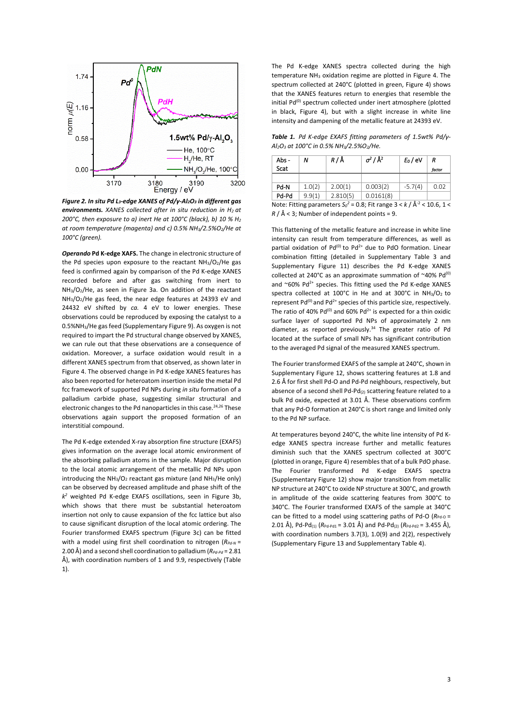

*Figure 2. In situ Pd L3‐edge XANES of Pd/γ‐Al2O3 in different gas environments. XANES collected after in situ reduction in H2 at 200°C, then exposure to a) inert He at 100°C (black), b) 10 % H2 at room temperature (magenta) and c) 0.5% NH3/2.5%O2/He at 100°C (green).* 

*Operando* **Pd K‐edge XAFS.** The change in electronic structure of the Pd species upon exposure to the reactant  $NH<sub>3</sub>/O<sub>2</sub>/He$  gas feed is confirmed again by comparison of the Pd K‐edge XANES recorded before and after gas switching from inert to  $NH<sub>3</sub>/O<sub>2</sub>/He$ , as seen in Figure 3a. On addition of the reactant NH<sub>3</sub>/O<sub>2</sub>/He gas feed, the near edge features at 24393 eV and 24432 eV shifted by *ca.* 4 eV to lower energies. These observations could be reproduced by exposing the catalyst to a 0.5%NH3/He gas feed (Supplementary Figure 9). As oxygen is not required to impart the Pd structural change observed by XANES, we can rule out that these observations are a consequence of oxidation. Moreover, a surface oxidation would result in a different XANES spectrum from that observed, as shown later in Figure 4. The observed change in Pd K‐edge XANES features has also been reported for heteroatom insertion inside the metal Pd fcc framework of supported Pd NPs during *in situ* formation of a palladium carbide phase, suggesting similar structural and electronic changes to the Pd nanoparticles in this case.<sup>24,26</sup> These observations again support the proposed formation of an interstitial compound.

The Pd K‐edge extended X‐ray absorption fine structure (EXAFS) gives information on the average local atomic environment of the absorbing palladium atoms in the sample. Major disruption to the local atomic arrangement of the metallic Pd NPs upon introducing the  $NH<sub>3</sub>/O<sub>2</sub>$  reactant gas mixture (and  $NH<sub>3</sub>/He$  only) can be observed by decreased amplitude and phase shift of the *k2* weighted Pd K‐edge EXAFS oscillations, seen in Figure 3b, which shows that there must be substantial heteroatom insertion not only to cause expansion of the fcc lattice but also to cause significant disruption of the local atomic ordering. The Fourier transformed EXAFS spectrum (Figure 3c) can be fitted with a model using first shell coordination to nitrogen ( $R_{Pd-N}$  = 2.00 Å) and a second shell coordination to palladium ( $R_{Pd-Pd}$  = 2.81 Å), with coordination numbers of 1 and 9.9, respectively (Table 1).

The Pd K-edge XANES spectra collected during the high temperature  $NH<sub>3</sub>$  oxidation regime are plotted in Figure 4. The spectrum collected at 240°C (plotted in green, Figure 4) shows that the XANES features return to energies that resemble the initial Pd<sup>(0)</sup> spectrum collected under inert atmosphere (plotted in black, Figure 4), but with a slight increase in white line intensity and dampening of the metallic feature at 24393 eV.

*Table 1. Pd K‐edge EXAFS fitting parameters of 1.5wt% Pd/γ‐ Al2O3 at 100°C in 0.5% NH3/2.5%O2/He.* 

| Abs -                                                                                                                    | N      | R/Å      | $\sigma^2/\AA^2$ | $E_0/eV$  | R      |
|--------------------------------------------------------------------------------------------------------------------------|--------|----------|------------------|-----------|--------|
| <b>Scat</b>                                                                                                              |        |          |                  |           | factor |
|                                                                                                                          |        |          |                  |           |        |
| Pd-N                                                                                                                     | 1.0(2) | 2.00(1)  | 0.003(2)         | $-5.7(4)$ | 0.02   |
| Pd-Pd                                                                                                                    | 9.9(1) | 2.810(5) | 0.0161(8)        |           |        |
| Note: $\Gamma$ itting noromators $C^2 = 0.9$ . $\Gamma$ it rongo $2 \times 1/\sqrt{3}$ $\frac{2}{3} \times 10^{-6}$ , 1. |        |          |                  |           |        |

Note: Fitting parameters  $S_0^2 = 0.8$ ; Fit range  $3 < k / \AA$ <sup>-2</sup> < 10.6, 1 <  $R / \text{Å}$  < 3; Number of independent points = 9.

This flattening of the metallic feature and increase in white line intensity can result from temperature differences, as well as partial oxidation of  $Pd^{(0)}$  to  $Pd^{2+}$  due to  $PdO$  formation. Linear combination fitting (detailed in Supplementary Table 3 and Supplementary Figure 11) describes the Pd K‐edge XANES collected at 240°C as an approximate summation of  $~40\%$  Pd<sup>(0)</sup> and  $^{\circ}60\%$  Pd<sup>2+</sup> species. This fitting used the Pd K-edge XANES spectra collected at  $100^{\circ}$ C in He and at  $300^{\circ}$ C in NH<sub>3</sub>/O<sub>2</sub> to represent  $Pd^{(0)}$  and  $Pd^{2+}$  species of this particle size, respectively. The ratio of 40%  $Pd^{(0)}$  and 60%  $Pd^{2+}$  is expected for a thin oxidic surface layer of supported Pd NPs of approximately 2 nm diameter, as reported previously.<sup>34</sup> The greater ratio of Pd located at the surface of small NPs has significant contribution to the averaged Pd signal of the measured XANES spectrum.

The Fourier transformed EXAFS of the sample at 240°C, shown in Supplementary Figure 12, shows scattering features at 1.8 and 2.6 Å for first shell Pd‐O and Pd‐Pd neighbours, respectively, but absence of a second shell Pd-Pd(2) scattering feature related to a bulk Pd oxide, expected at 3.01 Å. These observations confirm that any Pd‐O formation at 240°C is short range and limited only to the Pd NP surface.

At temperatures beyond 240°C, the white line intensity of Pd K‐ edge XANES spectra increase further and metallic features diminish such that the XANES spectrum collected at 300°C (plotted in orange, Figure 4) resembles that of a bulk PdO phase. The Fourier transformed Pd K‐edge EXAFS spectra (Supplementary Figure 12) show major transition from metallic NP structure at 240°C to oxide NP structure at 300°C, and growth in amplitude of the oxide scattering features from 300°C to 340°C. The Fourier transformed EXAFS of the sample at 340°C can be fitted to a model using scattering paths of Pd-O ( $R_{Pd-0}$  = 2.01 Å), Pd-Pd<sub>(1)</sub>  $(R_{\text{Pd-Pd1}} = 3.01 \text{ Å})$  and Pd-Pd<sub>(2)</sub>  $(R_{\text{Pd-Pd2}} = 3.455 \text{ Å})$ , with coordination numbers 3.7(3), 1.0(9) and 2(2), respectively (Supplementary Figure 13 and Supplementary Table 4).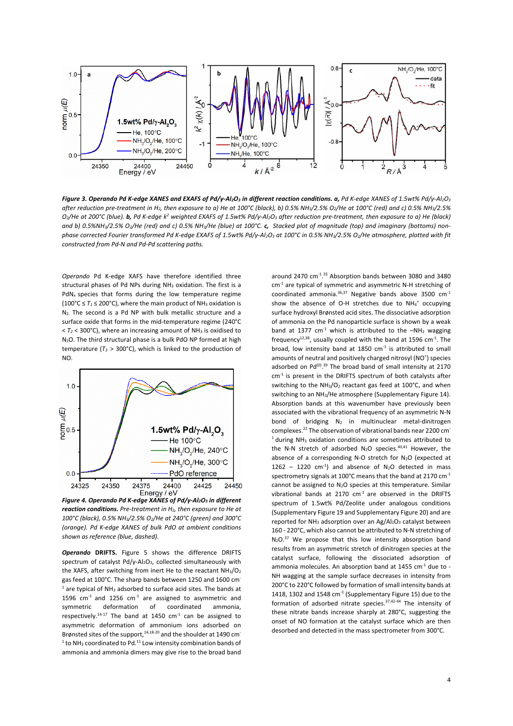

*Figure 3. Operando Pd K‐edge XANES and EXAFS of Pd/γ‐Al2O3 in different reaction conditions. a, Pd K‐edge XANES of 1.5wt% Pd/γ‐Al2O3 after reduction pre‐treatment in H2, then exposure to a) He at 100°C (black), b) 0.5% NH3/2.5% O2/He at 100°C (red) and c) 0.5% NH3/2.5%*   $O_2$ /He at 200°C (blue). **b,** Pd K-edge k<sup>2</sup> weighted EXAFS of 1.5wt% Pd/γ-Al<sub>2</sub>O<sub>3</sub> after reduction pre-treatment, then exposure to a) He (black) *and b) 0.5%NH3/2.5% O2/He (red) and c) 0.5% NH3/He (blue) at 100°C. c, Stacked plot of magnitude (top) and imaginary (bottoms) non‐ phase corrected Fourier transformed Pd K-edge EXAFS of 1.5wt% Pd/y-Al<sub>2</sub>O<sub>3</sub> at 100°C in 0.5% NH<sub>3</sub>/2.5% O<sub>2</sub>/He atmosphere, plotted with fit constructed from Pd‐N and Pd‐Pd scattering paths.*

*Operando* Pd K‐edge XAFS have therefore identified three structural phases of Pd NPs during NH<sub>3</sub> oxidation. The first is a PdN<sub>x</sub> species that forms during the low temperature regime ( $100^{\circ}$ C  $\leq$   $T_1$   $\leq$  200 $^{\circ}$ C), where the main product of NH<sub>3</sub> oxidation is N<sub>2</sub>. The second is a Pd NP with bulk metallic structure and a surface oxide that forms in the mid-temperature regime (240°C  $<$   $T_2$  < 300°C), where an increasing amount of NH<sub>3</sub> is oxidised to N2O. The third structural phase is a bulk PdO NP formed at high temperature  $(T_3 > 300^{\circ}$ C), which is linked to the production of NO.



*Figure 4. Operando Pd K‐edge XANES of Pd/γ‐Al2O3 in different reaction conditions. Pre‐treatment in H2, then exposure to He at 100°C (black), 0.5% NH3/2.5% O2/He at 240°C (green) and 300°C (orange). Pd K‐edge XANES of bulk PdO at ambient conditions shown as reference (blue, dashed).* 

*Operando* **DRIFTS.**  Figure 5 shows the difference DRIFTS spectrum of catalyst Pd/γ‐Al2O3, collected simultaneously with the XAFS, after switching from inert He to the reactant  $NH<sub>3</sub>/O<sub>2</sub>$ gas feed at 100°C. The sharp bands between 1250 and 1600 cm  $<sup>1</sup>$  are typical of NH<sub>3</sub> adsorbed to surface acid sites. The bands at</sup> 1596  $cm<sup>-1</sup>$  and 1256  $cm<sup>-1</sup>$  are assigned to asymmetric and symmetric deformation of coordinated ammonia, respectively.<sup>14-17</sup> The band at 1450  $cm<sup>-1</sup>$  can be assigned to asymmetric deformation of ammonium ions adsorbed on Brønsted sites of the support, $14,18-20$  and the shoulder at 1490 cm<sup>-</sup>  $1$  to NH<sub>3</sub> coordinated to Pd.<sup>11</sup> Low intensity combination bands of ammonia and ammonia dimers may give rise to the broad band

around 2470 cm<sup>-1,35</sup> Absorption bands between 3080 and 3480  $cm<sup>-1</sup>$  are typical of symmetric and asymmetric N-H stretching of coordinated ammonia. $36,37$  Negative bands above 3500  $cm<sup>-1</sup>$ show the absence of O-H stretches due to  $NH_4^+$  occupying surface hydroxyl Brønsted acid sites. The dissociative adsorption of ammonia on the Pd nanoparticle surface is shown by a weak band at 1377  $cm^{-1}$  which is attributed to the  $-NH_2$  wagging  $f$ requency<sup>12,38</sup>, usually coupled with the band at 1596 cm<sup>-1</sup>. The broad, low intensity band at  $1850 \text{ cm}^{-1}$  is attributed to small amounts of neutral and positively charged nitrosyl (NO<sup>+</sup>) species adsorbed on  $Pd^{(0)}$ .<sup>39</sup> The broad band of small intensity at 2170  $cm<sup>-1</sup>$  is present in the DRIFTS spectrum of both catalysts after switching to the NH<sub>3</sub>/O<sub>2</sub> reactant gas feed at  $100^{\circ}$ C, and when switching to an NH3/He atmosphere (Supplementary Figure 14). Absorption bands at this wavenumber have previously been associated with the vibrational frequency of an asymmetric N‐N bond of bridging  $N_2$  in multinuclear metal-dinitrogen complexes.<sup>22</sup> The observation of vibrational bands near 2200 cm<sup>-</sup>  $1$  during NH<sub>3</sub> oxidation conditions are sometimes attributed to the N-N stretch of adsorbed  $N_2O$  species.<sup>40,41</sup> However, the absence of a corresponding N-O stretch for  $N_2O$  (expected at 1262 – 1220  $cm^{-1}$ ) and absence of N<sub>2</sub>O detected in mass spectrometry signals at 100°C means that the band at 2170  $cm<sup>-1</sup>$ cannot be assigned to N<sub>2</sub>O species at this temperature. Similar vibrational bands at  $2170 \text{ cm}^{-1}$  are observed in the DRIFTS spectrum of 1.5wt% Pd/Zeolite under analogous conditions (Supplementary Figure 19 and Supplementary Figure 20) and are reported for NH<sub>3</sub> adsorption over an Ag/Al<sub>2</sub>O<sub>3</sub> catalyst between 160 ‐ 220°C, which also cannot be attributed to N‐N stretching of  $N_2O^{37}$  We propose that this low intensity absorption band results from an asymmetric stretch of dinitrogen species at the catalyst surface, following the dissociated adsorption of ammonia molecules. An absorption band at 1455  $cm<sup>-1</sup>$  due to -NH wagging at the sample surface decreases in intensity from 200°C to 220°C followed by formation of small intensity bands at 1418, 1302 and 1548  $cm<sup>-1</sup>$  (Supplementary Figure 15) due to the formation of adsorbed nitrate species. $37,42-44$  The intensity of these nitrate bands increase sharply at 280°C, suggesting the onset of NO formation at the catalyst surface which are then desorbed and detected in the mass spectrometer from 300°C.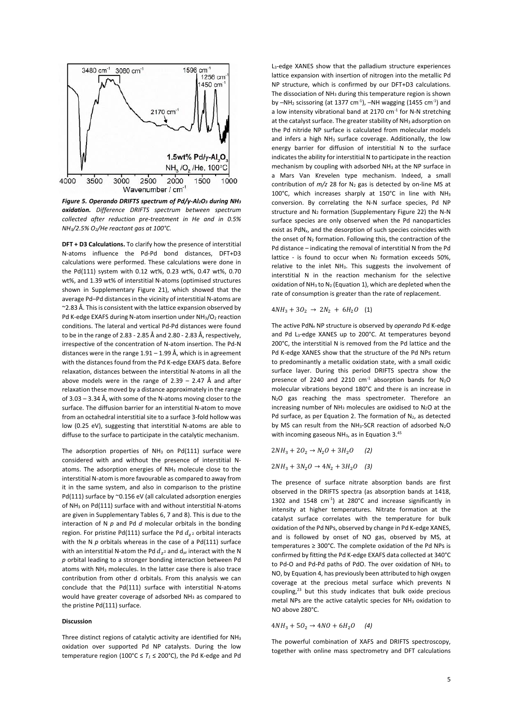

*Figure 5. Operando DRIFTS spectrum of Pd/γ‐Al2O3 during NH3 oxidation. Difference DRIFTS spectrum between spectrum collected after reduction pre‐treatment in He and in 0.5% NH3/2.5% O2/He reactant gas at 100°C.* 

**DFT + D3 Calculations.** To clarify how the presence of interstitial N‐atoms influence the Pd‐Pd bond distances, DFT+D3 calculations were performed. These calculations were done in the Pd(111) system with 0.12 wt%, 0.23 wt%, 0.47 wt%, 0.70 wt%, and 1.39 wt% of interstitial N‐atoms (optimised structures shown in Supplementary Figure 21), which showed that the average Pd–Pd distances in the vicinity of interstitial N‐atoms are ~2.83 Å. This is consistent with the lattice expansion observed by Pd K‐edge EXAFS during N‐atom insertion under NH3/O2 reaction conditions. The lateral and vertical Pd‐Pd distances were found to be in the range of 2.83 ‐ 2.85 Å and 2.80 ‐ 2.83 Å, respectively, irrespective of the concentration of N‐atom insertion. The Pd‐N distances were in the range 1.91 – 1.99 Å, which is in agreement with the distances found from the Pd K-edge EXAFS data. Before relaxation, distances between the interstitial N‐atoms in all the above models were in the range of  $2.39 - 2.47$  Å and after relaxation these moved by a distance approximately in the range of 3.03 – 3.34 Å, with some of the N‐atoms moving closer to the surface. The diffusion barrier for an interstitial N‐atom to move from an octahedral interstitial site to a surface 3‐fold hollow was low (0.25 eV), suggesting that interstitial N-atoms are able to diffuse to the surface to participate in the catalytic mechanism.

The adsorption properties of  $NH_3$  on  $Pd(111)$  surface were considered with and without the presence of interstitial N‐ atoms. The adsorption energies of NH<sub>3</sub> molecule close to the interstitial N‐atom is more favourable as compared to away from it in the same system, and also in comparison to the pristine Pd(111) surface by ~0.156 eV (all calculated adsorption energies of  $NH<sub>3</sub>$  on Pd(111) surface with and without interstitial N-atoms are given in Supplementary Tables 6, 7 and 8). This is due to the interaction of  $N$   $p$  and  $Pd$   $d$  molecular orbitals in the bonding region. For pristine Pd(111) surface the Pd  $d_{z^2}$  orbital interacts with the N  $p$  orbitals whereas in the case of a Pd(111) surface with an interstitial N-atom the Pd  $d_{\gamma^2}$  and  $d_{\gamma^2}$  interact with the N *p* orbital leading to a stronger bonding interaction between Pd atoms with NH3 molecules. In the latter case there is also trace contribution from other d orbitals. From this analysis we can conclude that the Pd(111) surface with interstitial N‐atoms would have greater coverage of adsorbed NH<sub>3</sub> as compared to the pristine Pd(111) surface.

## **Discussion**

Three distinct regions of catalytic activity are identified for NH3 oxidation over supported Pd NP catalysts. During the low temperature region (100°C  $\leq T_1 \leq 200$ °C), the Pd K-edge and Pd

L3‐edge XANES show that the palladium structure experiences lattice expansion with insertion of nitrogen into the metallic Pd NP structure, which is confirmed by our DFT+D3 calculations. The dissociation of NH<sub>3</sub> during this temperature region is shown by  $-NH<sub>2</sub>$  scissoring (at 1377 cm<sup>-1</sup>),  $-NH$  wagging (1455 cm<sup>-1</sup>) and a low intensity vibrational band at 2170  $cm<sup>-1</sup>$  for N-N stretching at the catalyst surface. The greater stability of NH<sub>3</sub> adsorption on the Pd nitride NP surface is calculated from molecular models and infers a high NH<sub>3</sub> surface coverage. Additionally, the low energy barrier for diffusion of interstitial N to the surface indicates the ability for interstitial N to participate in the reaction mechanism by coupling with adsorbed NH<sub>3</sub> at the NP surface in a Mars Van Krevelen type mechanism. Indeed, a small contribution of  $m/z$  28 for  $N_2$  gas is detected by on-line MS at 100°C, which increases sharply at 150°C in line with NH3 conversion. By correlating the N‐N surface species, Pd NP structure and N<sub>2</sub> formation (Supplementary Figure 22) the N-N surface species are only observed when the Pd nanoparticles exist as PdN*x*, and the desorption of such species coincides with the onset of  $N_2$  formation. Following this, the contraction of the Pd distance – indicating the removal of interstitial N from the Pd lattice - is found to occur when  $N_2$  formation exceeds 50%. relative to the inlet NH<sub>3</sub>. This suggests the involvement of interstitial N in the reaction mechanism for the selective oxidation of  $NH<sub>3</sub>$  to N<sub>2</sub> (Equation 1), which are depleted when the rate of consumption is greater than the rate of replacement.

 $4NH_3 + 3O_2 \rightarrow 2N_2 + 6H_2O$  (1)

The active PdN*<sup>x</sup>* NP structure is observed by *operando* Pd K‐edge and Pd L<sub>3</sub>-edge XANES up to 200°C. At temperatures beyond 200°C, the interstitial N is removed from the Pd lattice and the Pd K-edge XANES show that the structure of the Pd NPs return to predominantly a metallic oxidation state, with a small oxidic surface layer. During this period DRIFTS spectra show the presence of 2240 and 2210  $cm<sup>-1</sup>$  absorption bands for  $N_2O$ molecular vibrations beyond 180°C and there is an increase in N2O gas reaching the mass spectrometer. Therefore an increasing number of NH<sub>3</sub> molecules are oxidised to N<sub>2</sub>O at the Pd surface, as per Equation 2. The formation of  $N_2$ , as detected by MS can result from the NH<sub>3</sub>-SCR reaction of adsorbed N<sub>2</sub>O with incoming gaseous  $NH<sub>3</sub>$ , as in Equation 3.45

 $2NH_3 + 2O_2 \rightarrow N_2O + 3H_2O$  (2)  $2NH_3 + 3N_2O \rightarrow 4N_2 + 3H_2O$  (3)

The presence of surface nitrate absorption bands are first observed in the DRIFTS spectra (as absorption bands at 1418, 1302 and  $1548 \text{ cm}^{-1}$ ) at  $280^{\circ}$ C and increase significantly in intensity at higher temperatures. Nitrate formation at the catalyst surface correlates with the temperature for bulk oxidation of the Pd NPs, observed by change in Pd K‐edge XANES, and is followed by onset of NO gas, observed by MS, at temperatures ≥ 300°C. The complete oxidation of the Pd NPs is confirmed by fitting the Pd K‐edge EXAFS data collected at 340°C to Pd-O and Pd-Pd paths of PdO. The over oxidation of NH<sub>3</sub> to NO, by Equation 4, has previously been attributed to high oxygen coverage at the precious metal surface which prevents N  $coupling<sup>23</sup>$  but this study indicates that bulk oxide precious metal NPs are the active catalytic species for NH3 oxidation to NO above 280°C.

$$
4NH_3 + 5O_2 \to 4NO + 6H_2O \quad (4)
$$

The powerful combination of XAFS and DRIFTS spectroscopy, together with online mass spectrometry and DFT calculations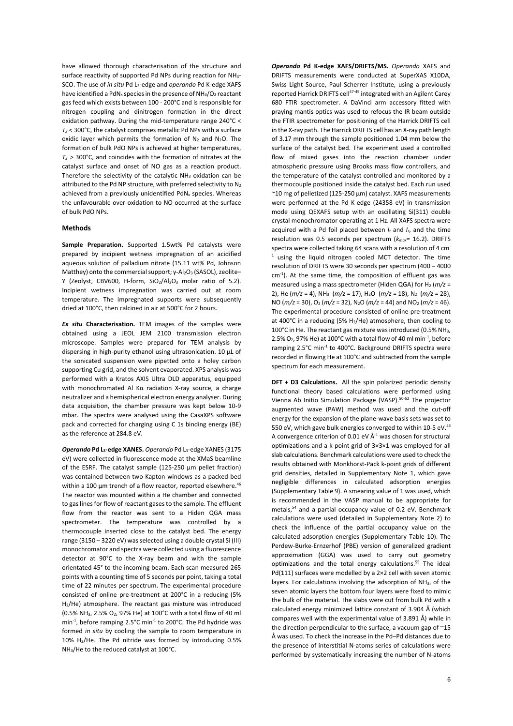have allowed thorough characterisation of the structure and surface reactivity of supported Pd NPs during reaction for NH<sub>3</sub>-SCO. The use of *in situ* Pd L3‐edge and *operando* Pd K‐edge XAFS have identified a PdN<sub>x</sub> species in the presence of NH<sub>3</sub>/O<sub>2</sub> reactant gas feed which exists between 100 ‐ 200°C and is responsible for nitrogen coupling and dinitrogen formation in the direct oxidation pathway. During the mid‐temperature range 240°C < *T2* < 300°C, the catalyst comprises metallic Pd NPs with a surface oxidic layer which permits the formation of  $N_2$  and  $N_2O$ . The formation of bulk PdO NPs is achieved at higher temperatures,  $T_3$  > 300°C, and coincides with the formation of nitrates at the catalyst surface and onset of NO gas as a reaction product. Therefore the selectivity of the catalytic NH3 oxidation can be attributed to the Pd NP structure, with preferred selectivity to N2 achieved from a previously unidentified PdN<sub>x</sub> species. Whereas the unfavourable over‐oxidation to NO occurred at the surface of bulk PdO NPs.

#### **Methods**

**Sample Preparation.**  Supported 1.5wt% Pd catalysts were prepared by incipient wetness impregnation of an acidified aqueous solution of palladium nitrate (15.11 wt% Pd, Johnson Matthey) onto the commercial support; γ-Al<sub>2</sub>O<sub>3</sub> (SASOL), zeolite-Y (Zeolyst, CBV600, H-form, SiO<sub>2</sub>/Al<sub>2</sub>O<sub>3</sub> molar ratio of 5.2). Incipient wetness impregnation was carried out at room temperature. The impregnated supports were subsequently dried at 100°C, then calcined in air at 500°C for 2 hours.

*Ex situ* **Characterisation.**  TEM images of the samples were obtained using a JEOL JEM 2100 transmission electron microscope. Samples were prepared for TEM analysis by dispersing in high‐purity ethanol using ultrasonication. 10 µL of the sonicated suspension were pipetted onto a holey carbon supporting Cu grid, and the solvent evaporated. XPS analysis was performed with a Kratos AXIS Ultra DLD apparatus, equipped with monochromated Al Kα radiation X-ray source, a charge neutralizer and a hemispherical electron energy analyser. During data acquisition, the chamber pressure was kept below 10‐9 mbar. The spectra were analysed using the CasaXPS software pack and corrected for charging using C 1s binding energy (BE) as the reference at 284.8 eV.

*Operando* **Pd L3‐edge XANES.** *Operando* Pd L3‐edge XANES (3175 eV) were collected in fluorescence mode at the XMaS beamline of the ESRF. The catalyst sample (125-250 µm pellet fraction) was contained between two Kapton windows as a packed bed within a 100 µm trench of a flow reactor, reported elsewhere.<sup>46</sup> The reactor was mounted within a He chamber and connected to gas lines for flow of reactant gases to the sample. The effluent flow from the reactor was sent to a Hiden QGA mass spectrometer. The temperature was controlled by a thermocouple inserted close to the catalyst bed. The energy range (3150 – 3220 eV) was selected using a double crystal Si (III) monochromator and spectra were collected using a fluorescence detector at 90°C to the X-ray beam and with the sample orientated 45° to the incoming beam. Each scan measured 265 points with a counting time of 5 seconds per point, taking a total time of 22 minutes per spectrum. The experimental procedure consisted of online pre-treatment at 200°C in a reducing (5% H2/He) atmosphere. The reactant gas mixture was introduced (0.5% NH<sub>3</sub>, 2.5% O<sub>2</sub>, 97% He) at 100°C with a total flow of 40 ml min<sup>-1</sup>, before ramping 2.5°C min<sup>-1</sup> to 200°C. The Pd hydride was formed *in situ* by cooling the sample to room temperature in 10% H2/He. The Pd nitride was formed by introducing 0.5% NH3/He to the reduced catalyst at 100°C.

*Operando*  **Pd K‐edge XAFS/DRIFTS/MS.**  *Operando* XAFS and DRIFTS measurements were conducted at SuperXAS X10DA, Swiss Light Source, Paul Scherrer Institute, using a previously reported Harrick DRIFTS cell<sup>47-49</sup> integrated with an Agilent Carey 680 FTIR spectrometer. A DaVinci arm accessory fitted with praying mantis optics was used to refocus the IR beam outside the FTIR spectrometer for positioning of the Harrick DRIFTS cell in the X‐ray path. The Harrick DRIFTS cell has an X‐ray path length of 3.17 mm through the sample positioned 1.04 mm below the surface of the catalyst bed. The experiment used a controlled flow of mixed gases into the reaction chamber under atmospheric pressure using Brooks mass flow controllers, and the temperature of the catalyst controlled and monitored by a thermocouple positioned inside the catalyst bed. Each run used ~10 mg of pelletized (125‐250 µm) catalyst. XAFS measurements were performed at the Pd K-edge (24358 eV) in transmission mode using QEXAFS setup with an oscillating Si(311) double crystal monochromator operating at 1 Hz. All XAFS spectra were acquired with a Pd foil placed between *It* and *Ir*, and the time resolution was 0.5 seconds per spectrum (*kmax*= 16.2). DRIFTS spectra were collected taking 64 scans with a resolution of 4 cm<sup>-</sup> <sup>1</sup> using the liquid nitrogen cooled MCT detector. The time resolution of DRIFTS were 30 seconds per spectrum (400 – 4000  $cm<sup>-1</sup>$ ). At the same time, the composition of effluent gas was measured using a mass spectrometer (Hiden QGA) for H<sub>2</sub> (*m*/z = 2), He (*m/z* = 4), NH3 (*m/z* = 17), H2O (*m/z* = 18), N2 (*m/z* = 28), NO (*m/z* = 30), O2 (*m/z* = 32), N2O (*m/z* = 44) and NO2 (*m/z* = 46). The experimental procedure consisted of online pre‐treatment at 400°C in a reducing (5%  $H<sub>2</sub>/He$ ) atmosphere, then cooling to 100°C in He. The reactant gas mixture was introduced (0.5% NH3, 2.5%  $O_2$ , 97% He) at 100°C with a total flow of 40 ml min<sup>-1</sup>, before ramping 2.5°C min<sup>-1</sup> to 400°C. Background DRIFTS spectra were recorded in flowing He at 100°C and subtracted from the sample spectrum for each measurement.

**DFT + D3 Calculations.** All the spin polarized periodic density functional theory based calculations were performed using Vienna Ab Initio Simulation Package (VASP).<sup>50-52</sup> The projector augmented wave (PAW) method was used and the cut‐off energy for the expansion of the plane‐wave basis sets was set to 550 eV, which gave bulk energies converged to within 10-5 eV.<sup>53</sup> A convergence criterion of 0.01 eV  $\AA$ <sup>-1</sup> was chosen for structural optimizations and a k‐point grid of 3×3×1 was employed for all slab calculations. Benchmark calculations were used to check the results obtained with Monkhorst‐Pack k‐point grids of different grid densities, detailed in Supplementary Note 1, which gave negligible differences in calculated adsorption energies (Supplementary Table 9). A smearing value of 1 was used, which is recommended in the VASP manual to be appropriate for metals,<sup>54</sup> and a partial occupancy value of 0.2 eV. Benchmark calculations were used (detailed in Supplementary Note 2) to check the influence of the partial occupancy value on the calculated adsorption energies (Supplementary Table 10). The Perdew‐Burke‐Ernzerhof (PBE) version of generalized gradient approximation (GGA) was used to carry out geometry optimizations and the total energy calculations.<sup>55</sup> The ideal Pd(111) surfaces were modelled by a 2×2 cell with seven atomic layers. For calculations involving the adsorption of NH<sub>3</sub>, of the seven atomic layers the bottom four layers were fixed to mimic the bulk of the material. The slabs were cut from bulk Pd with a calculated energy minimized lattice constant of 3.904 Å (which compares well with the experimental value of 3.891 Å) while in the direction perpendicular to the surface, a vacuum gap of ~15 Å was used. To check the increase in the Pd–Pd distances due to the presence of interstitial N‐atoms series of calculations were performed by systematically increasing the number of N‐atoms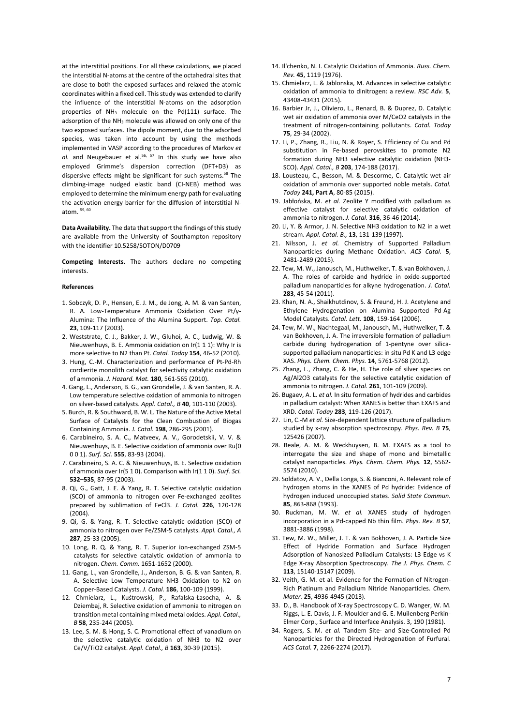at the interstitial positions. For all these calculations, we placed the interstitial N‐atoms at the centre of the octahedral sites that are close to both the exposed surfaces and relaxed the atomic coordinates within a fixed cell. This study was extended to clarify the influence of the interstitial N‐atoms on the adsorption properties of NH3 molecule on the Pd(111) surface. The adsorption of the NH<sub>3</sub> molecule was allowed on only one of the two exposed surfaces. The dipole moment, due to the adsorbed species, was taken into account by using the methods implemented in VASP according to the procedures of Markov *et*  al. and Neugebauer et al.<sup>56, 57</sup> In this study we have also employed Grimme's dispersion correction (DFT+D3) as dispersive effects might be significant for such systems.<sup>58</sup> The climbing‐image nudged elastic band (CI‐NEB) method was employed to determine the minimum energy path for evaluating the activation energy barrier for the diffusion of interstitial N‐ atom. 59, 60

**Data Availability.** The data that support the findings of this study are available from the University of Southampton repository with the identifier 10.5258/SOTON/D0709

**Competing Interests.**  The authors declare no competing interests.

#### **References**

- 1. Sobczyk, D. P., Hensen, E. J. M., de Jong, A. M. & van Santen, R. A. Low‐Temperature Ammonia Oxidation Over Pt/γ‐ Alumina: The Influence of the Alumina Support. *Top. Catal.* **23**, 109‐117 (2003).
- 2. Weststrate, C. J., Bakker, J. W., Gluhoi, A. C., Ludwig, W. & Nieuwenhuys, B. E. Ammonia oxidation on Ir(1 1 1): Why Ir is more selective to N2 than Pt. *Catal. Today* **154**, 46‐52 (2010).
- 3. Hung, C.‐M. Characterization and performance of Pt‐Pd‐Rh cordierite monolith catalyst for selectivity catalytic oxidation of ammonia. *J. Hazard. Mat.* **180**, 561‐565 (2010).
- 4. Gang, L., Anderson, B. G., van Grondelle, J. & van Santen, R. A. Low temperature selective oxidation of ammonia to nitrogen on silver‐based catalysts. *Appl. Catal., B* **40**, 101‐110 (2003).
- 5. Burch, R. & Southward, B. W. L. The Nature of the Active Metal Surface of Catalysts for the Clean Combustion of Biogas Containing Ammonia. *J. Catal.* **198**, 286‐295 (2001).
- 6. Carabineiro, S. A. C., Matveev, A. V., Gorodetskii, V. V. & Nieuwenhuys, B. E. Selective oxidation of ammonia over Ru(0 0 0 1). *Surf. Sci.* **555**, 83‐93 (2004).
- 7. Carabineiro, S. A. C. & Nieuwenhuys, B. E. Selective oxidation of ammonia over Ir(5 1 0). Comparison with Ir(1 1 0). *Surf. Sci.* **532–535**, 87‐95 (2003).
- 8. Qi, G., Gatt, J. E. & Yang, R. T. Selective catalytic oxidation (SCO) of ammonia to nitrogen over Fe‐exchanged zeolites prepared by sublimation of FeCl3. *J. Catal.* **226**, 120‐128 (2004).
- 9. Qi, G. & Yang, R. T. Selective catalytic oxidation (SCO) of ammonia to nitrogen over Fe/ZSM‐5 catalysts. *Appl. Catal., A* **287**, 25‐33 (2005).
- 10. Long, R. Q. & Yang, R. T. Superior ion‐exchanged ZSM‐5 catalysts for selective catalytic oxidation of ammonia to nitrogen. *Chem. Comm.* 1651‐1652 (2000).
- 11. Gang, L., van Grondelle, J., Anderson, B. G. & van Santen, R. A. Selective Low Temperature NH3 Oxidation to N2 on Copper‐Based Catalysts. *J. Catal.* **186**, 100‐109 (1999).
- 12. Chmielarz, L., Kuśtrowski, P., Rafalska‐Łasocha, A. & Dziembaj, R. Selective oxidation of ammonia to nitrogen on transition metal containing mixed metal oxides. *Appl. Catal., B* **58**, 235‐244 (2005).
- 13. Lee, S. M. & Hong, S. C. Promotional effect of vanadium on the selective catalytic oxidation of NH3 to N2 over Ce/V/TiO2 catalyst. *Appl. Catal., B* **163**, 30‐39 (2015).
- 14. Il'chenko, N. I. Catalytic Oxidation of Ammonia. *Russ. Chem. Rev.* **45**, 1119 (1976).
- 15. Chmielarz, L. & Jablonska, M. Advances in selective catalytic oxidation of ammonia to dinitrogen: a review. *RSC Adv.* **5**, 43408‐43431 (2015).
- 16. Barbier Jr, J., Oliviero, L., Renard, B. & Duprez, D. Catalytic wet air oxidation of ammonia over M/CeO2 catalysts in the treatment of nitrogen‐containing pollutants. *Catal. Today* **75**, 29‐34 (2002).
- 17. Li, P., Zhang, R., Liu, N. & Royer, S. Efficiency of Cu and Pd substitution in Fe-based perovskites to promote N2 formation during NH3 selective catalytic oxidation (NH3‐ SCO). *Appl. Catal., B* **203**, 174‐188 (2017).
- 18. Lousteau, C., Besson, M. & Descorme, C. Catalytic wet air oxidation of ammonia over supported noble metals. *Catal. Today* **241, Part A**, 80‐85 (2015).
- 19. Jabłońska, M. *et al.* Zeolite Y modified with palladium as effective catalyst for selective catalytic oxidation of ammonia to nitrogen. *J. Catal.* **316**, 36‐46 (2014).
- 20. Li, Y. & Armor, J. N. Selective NH3 oxidation to N2 in a wet stream. *Appl. Catal. B.,* **13**, 131‐139 (1997).
- 21. Nilsson, J. *et al.* Chemistry of Supported Palladium Nanoparticles during Methane Oxidation. *ACS Catal.* **5**, 2481‐2489 (2015).
- 22. Tew, M. W., Janousch, M., Huthwelker, T. & van Bokhoven, J. A. The roles of carbide and hydride in oxide‐supported palladium nanoparticles for alkyne hydrogenation. *J. Catal.* **283**, 45‐54 (2011).
- 23. Khan, N. A., Shaikhutdinov, S. & Freund, H. J. Acetylene and Ethylene Hydrogenation on Alumina Supported Pd‐Ag Model Catalysts. *Catal. Lett.* **108**, 159‐164 (2006).
- 24. Tew, M. W., Nachtegaal, M., Janousch, M., Huthwelker, T. & van Bokhoven, J. A. The irreversible formation of palladium carbide during hydrogenation of 1-pentyne over silicasupported palladium nanoparticles: in situ Pd K and L3 edge XAS. *Phys. Chem. Chem. Phys.* **14**, 5761‐5768 (2012).
- 25. Zhang, L., Zhang, C. & He, H. The role of silver species on Ag/Al2O3 catalysts for the selective catalytic oxidation of ammonia to nitrogen. *J. Catal.* **261**, 101‐109 (2009).
- 26. Bugaev, A. L. *et al.* In situ formation of hydrides and carbides in palladium catalyst: When XANES is better than EXAFS and XRD. *Catal. Today* **283**, 119‐126 (2017).
- 27. Lin, C.‐M *et al.* Size‐dependent lattice structure of palladium studied by x‐ray absorption spectroscopy. *Phys. Rev. B* **75**, 125426 (2007).
- 28. Beale, A. M. & Weckhuysen, B. M. EXAFS as a tool to interrogate the size and shape of mono and bimetallic catalyst nanoparticles. *Phys. Chem. Chem. Phys.* **12**, 5562‐ 5574 (2010).
- 29. Soldatov, A. V., Della Longa, S. & Bianconi, A. Relevant role of hydrogen atoms in the XANES of Pd hydride: Evidence of hydrogen induced unoccupied states. *Solid State Commun.* **85**, 863‐868 (1993).
- 30. Ruckman, M. W. *et al.* XANES study of hydrogen incorporation in a Pd‐capped Nb thin film. *Phys. Rev. B* **57**, 3881‐3886 (1998).
- 31. Tew, M. W., Miller, J. T. & van Bokhoven, J. A. Particle Size Effect of Hydride Formation and Surface Hydrogen Adsorption of Nanosized Palladium Catalysts: L3 Edge vs K Edge X‐ray Absorption Spectroscopy. *The J. Phys. Chem. C* **113**, 15140‐15147 (2009).
- 32. Veith, G. M. et al. Evidence for the Formation of Nitrogen‐ Rich Platinum and Palladium Nitride Nanoparticles. *Chem. Mater.* **25**, 4936‐4945 (2013).
- 33. D., B. Handbook of X‐ray Spectroscopy C. D. Wanger, W. M. Riggs, L. E. Davis, J. F. Moulder and G. E. Muilenberg Perkin‐ Elmer Corp., Surface and Interface Analysis. 3, 190 (1981).
- 34. Rogers, S. M. *et al.* Tandem Site‐ and Size‐Controlled Pd Nanoparticles for the Directed Hydrogenation of Furfural. *ACS Catal.* **7**, 2266‐2274 (2017).